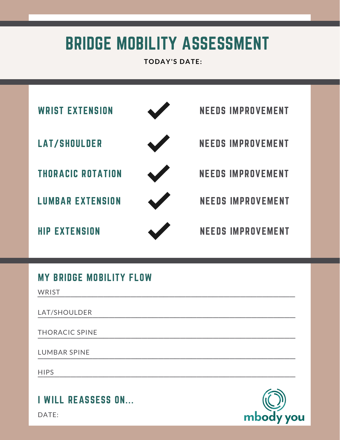## BRIDGE MOBILITY ASSESSMENT

**TODAY'S DATE:**



## MY BRIDGE MOBILITY FLOW

**WRIST**  $\sqrt{V}$   $\sqrt{V}$ 

LAT/SHOULDER \_\_\_\_\_\_\_\_\_\_\_\_\_\_\_\_\_\_\_\_\_\_\_\_\_\_\_\_\_\_\_\_\_\_\_\_\_\_\_\_\_\_\_\_\_\_\_

THORACIC SPINE \_\_\_\_\_\_\_\_\_\_\_\_\_\_\_\_\_\_\_\_\_\_\_\_\_\_\_\_\_\_\_\_\_\_\_\_\_\_\_\_\_\_\_\_\_\_\_

LUMBAR SPINE \_\_\_\_\_\_\_\_\_\_\_\_\_\_\_\_\_\_\_\_\_\_\_\_\_\_\_\_\_\_\_\_\_\_\_\_\_\_\_\_\_\_\_\_\_\_\_

**HIPS**  $\overline{\text{HIPS}}$ 

I WILL REASSESS ON...

DATE: